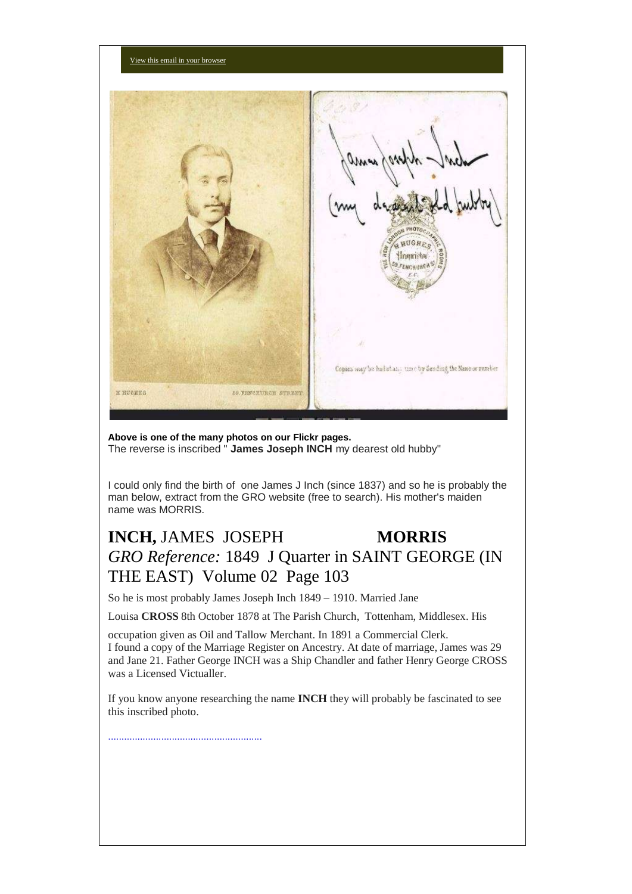

**Above is one of the many photos on our Flickr pages.** The reverse is inscribed " **James Joseph INCH** my dearest old hubby"

I could only find the birth of one James J Inch (since 1837) and so he is probably the man below, extract from the GRO website (free to search). His mother's maiden name was MORRIS.

# **INCH, JAMES JOSEPH MORRIS** *GRO Reference:* 1849 J Quarter in SAINT GEORGE (IN THE EAST) Volume 02 Page 103

So he is most probably James Joseph Inch 1849 – 1910. Married Jane

Louisa **CROSS** 8th October 1878 at The Parish Church, Tottenham, Middlesex. His

occupation given as Oil and Tallow Merchant. In 1891 a Commercial Clerk. I found a copy of the Marriage Register on Ancestry. At date of marriage, James was 29 and Jane 21. Father George INCH was a Ship Chandler and father Henry George CROSS was a Licensed Victualler.

If you know anyone researching the name **INCH** they will probably be fascinated to see this inscribed photo.

..........................................................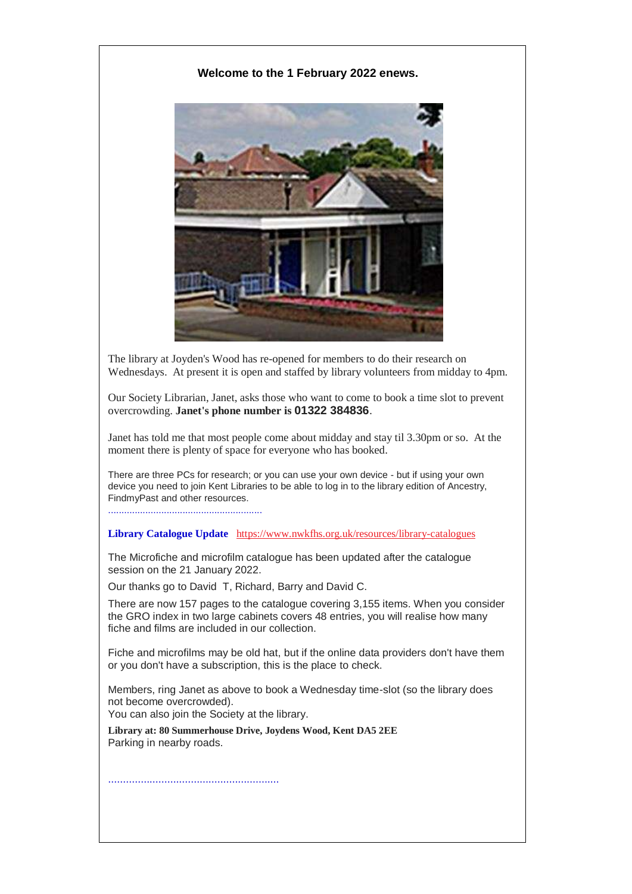### **Welcome to the 1 February 2022 enews.**



The library at Joyden's Wood has re-opened for members to do their research on Wednesdays. At present it is open and staffed by library volunteers from midday to 4pm.

Our Society Librarian, Janet, asks those who want to come to book a time slot to prevent overcrowding. **Janet's phone number is 01322 384836**.

Janet has told me that most people come about midday and stay til 3.30pm or so. At the moment there is plenty of space for everyone who has booked.

There are three PCs for research; or you can use your own device - but if using your own device you need to join Kent Libraries to be able to log in to the library edition of Ancestry, FindmyPast and other resources.

**Library Catalogue Update** [https://www.nwkfhs.org.uk/resources/library-catalogues](https://nwkfhs.us4.list-manage.com/track/click?u=cde10858510442d6e71f0f3a6&id=d0ad89c9a7&e=a709ee61ff)

The Microfiche and microfilm catalogue has been updated after the catalogue session on the 21 January 2022.

Our thanks go to David T, Richard, Barry and David C.

There are now 157 pages to the catalogue covering 3,155 items. When you consider the GRO index in two large cabinets covers 48 entries, you will realise how many fiche and films are included in our collection.

Fiche and microfilms may be old hat, but if the online data providers don't have them or you don't have a subscription, this is the place to check.

Members, ring Janet as above to book a Wednesday time-slot (so the library does not become overcrowded). You can also join the Society at the library.

**Library at: 80 Summerhouse Drive, Joydens Wood, Kent DA5 2EE** Parking in nearby roads.

..........................................................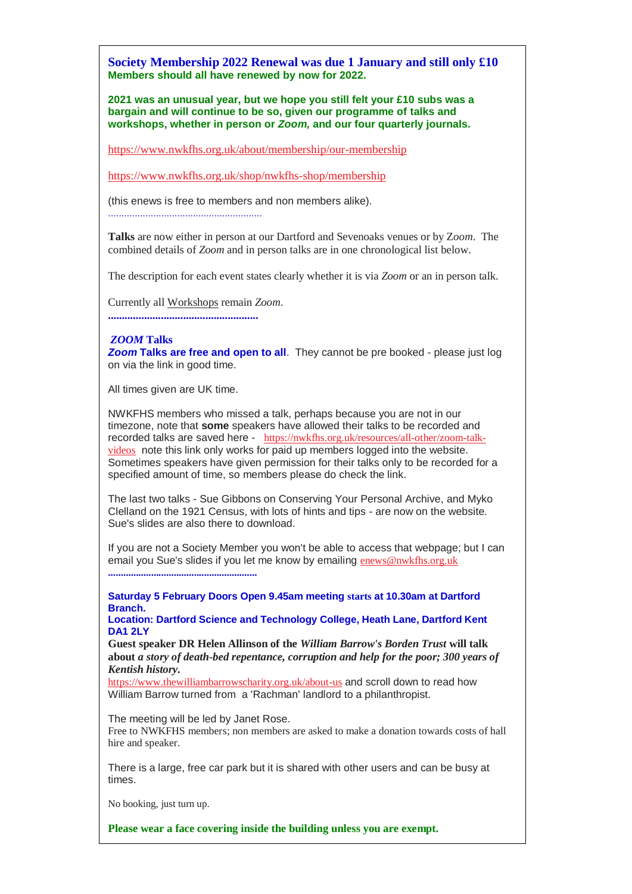**Society Membership 2022 Renewal was due 1 January and still only £10 Members should all have renewed by now for 2022.**

**2021 was an unusual year, but we hope you still felt your £10 subs was a bargain and will continue to be so, given our programme of talks and workshops, whether in person or** *Zoom,* **and our four quarterly journals.**

[https://www.nwkfhs.org.uk/about/membership/our-membership](https://nwkfhs.us4.list-manage.com/track/click?u=cde10858510442d6e71f0f3a6&id=00407c6ad2&e=a709ee61ff)

[https://www.nwkfhs.org.uk/shop/nwkfhs-shop/membership](https://nwkfhs.us4.list-manage.com/track/click?u=cde10858510442d6e71f0f3a6&id=b6923c79b2&e=a709ee61ff)

(this enews is free to members and non members alike).

..........................................................

**Talks** are now either in person at our Dartford and Sevenoaks venues or by Z*oom*. The combined details of *Zoom* and in person talks are in one chronological list below.

The description for each event states clearly whether it is via *Zoom* or an in person talk.

Currently all Workshops remain *Zoom*.

**......................................................**

#### *ZOOM* **Talks**

*Zoom* **Talks are free and open to all**. They cannot be pre booked - please just log on via the link in good time.

All times given are UK time.

NWKFHS members who missed a talk, perhaps because you are not in our timezone, note that **some** speakers have allowed their talks to be recorded and recorded talks are saved here - [https://nwkfhs.org.uk/resources/all-other/zoom-talk](https://nwkfhs.us4.list-manage.com/track/click?u=cde10858510442d6e71f0f3a6&id=2b8b3f5636&e=a709ee61ff)[videos](https://nwkfhs.us4.list-manage.com/track/click?u=cde10858510442d6e71f0f3a6&id=2b8b3f5636&e=a709ee61ff) note this link only works for paid up members logged into the website. Sometimes speakers have given permission for their talks only to be recorded for a specified amount of time, so members please do check the link.

The last two talks - Sue Gibbons on Conserving Your Personal Archive, and Myko Clelland on the 1921 Census, with lots of hints and tips - are now on the website. Sue's slides are also there to download.

If you are not a Society Member you won't be able to access that webpage; but I can email you Sue's slides if you let me know by emailing [enews@nwkfhs.org.uk](mailto:enews@nwkfhs.org.uk?subject=Conserving%20Your%20Personal%20Archive%20-%20handout) **...........................................................**

**Saturday 5 February Doors Open 9.45am meeting starts at 10.30am at Dartford Branch.**

**Location: Dartford Science and Technology College, Heath Lane, Dartford Kent DA1 2LY**

**Guest speaker DR Helen Allinson of the** *William Barrow's Borden Trust* **will talk about** *a story of death-bed repentance, corruption and help for the poor; 300 years of Kentish history.*

[https://www.thewilliambarrowscharity.org.uk/about-us](https://nwkfhs.us4.list-manage.com/track/click?u=cde10858510442d6e71f0f3a6&id=62ed1ca3e8&e=a709ee61ff) and scroll down to read how William Barrow turned from a 'Rachman' landlord to a philanthropist.

The meeting will be led by Janet Rose.

Free to NWKFHS members; non members are asked to make a donation towards costs of hall hire and speaker.

There is a large, free car park but it is shared with other users and can be busy at times.

No booking, just turn up.

**Please wear a face covering inside the building unless you are exempt.**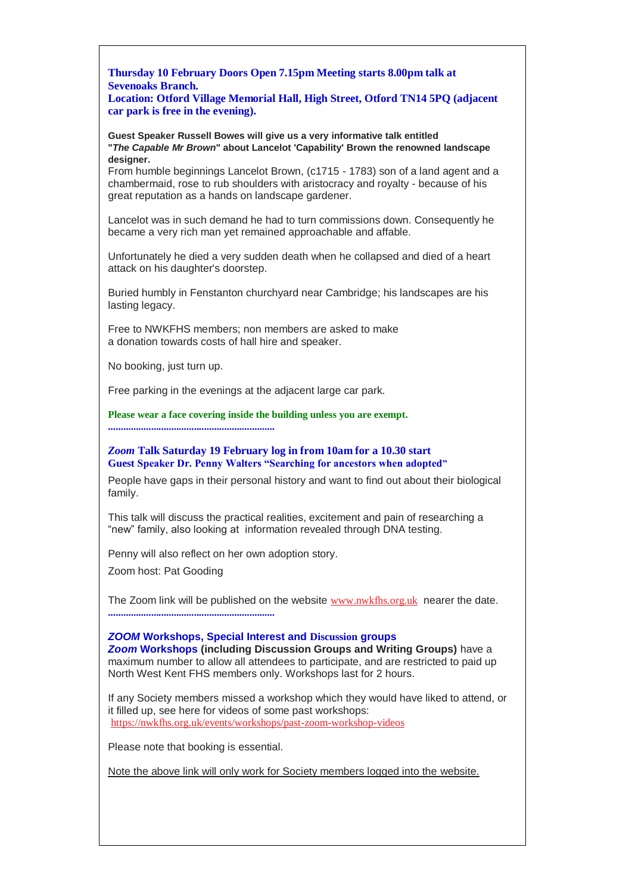**Thursday 10 February Doors Open 7.15pm Meeting starts 8.00pm talk at Sevenoaks Branch.**

**Location: Otford Village Memorial Hall, High Street, Otford TN14 5PQ (adjacent car park is free in the evening).**

**Guest Speaker Russell Bowes will give us a very informative talk entitled "***The Capable Mr Brown***" about Lancelot 'Capability' Brown the renowned landscape designer.**

From humble beginnings Lancelot Brown, (c1715 - 1783) son of a land agent and a chambermaid, rose to rub shoulders with aristocracy and royalty - because of his great reputation as a hands on landscape gardener.

Lancelot was in such demand he had to turn commissions down. Consequently he became a very rich man yet remained approachable and affable.

Unfortunately he died a very sudden death when he collapsed and died of a heart attack on his daughter's doorstep.

Buried humbly in Fenstanton churchyard near Cambridge; his landscapes are his lasting legacy.

Free to NWKFHS members; non members are asked to make a donation towards costs of hall hire and speaker.

No booking, just turn up.

Free parking in the evenings at the adjacent large car park.

**Please wear a face covering inside the building unless you are exempt. ..................................................................**

*Zoom* **Talk Saturday 19 February log in from 10am for a 10.30 start Guest Speaker Dr. Penny Walters "Searching for ancestors when adopted"**

People have gaps in their personal history and want to find out about their biological family.

This talk will discuss the practical realities, excitement and pain of researching a "new" family, also looking at information revealed through DNA testing.

Penny will also reflect on her own adoption story.

Zoom host: Pat Gooding

The Zoom link will be published on the website [www.nwkfhs.org.uk](https://nwkfhs.us4.list-manage.com/track/click?u=cde10858510442d6e71f0f3a6&id=7f5ee41df6&e=a709ee61ff) nearer the date. **..................................................................**

*ZOOM* **Workshops, Special Interest and Discussion groups**

*Zoom* **Workshops (including Discussion Groups and Writing Groups)** have a maximum number to allow all attendees to participate, and are restricted to paid up North West Kent FHS members only. Workshops last for 2 hours.

If any Society members missed a workshop which they would have liked to attend, or it filled up, see here for videos of some past workshops: [https://nwkfhs.org.uk/events/workshops/past-zoom-workshop-videos](https://nwkfhs.us4.list-manage.com/track/click?u=cde10858510442d6e71f0f3a6&id=bac18fb146&e=a709ee61ff)

Please note that booking is essential.

Note the above link will only work for Society members logged into the website.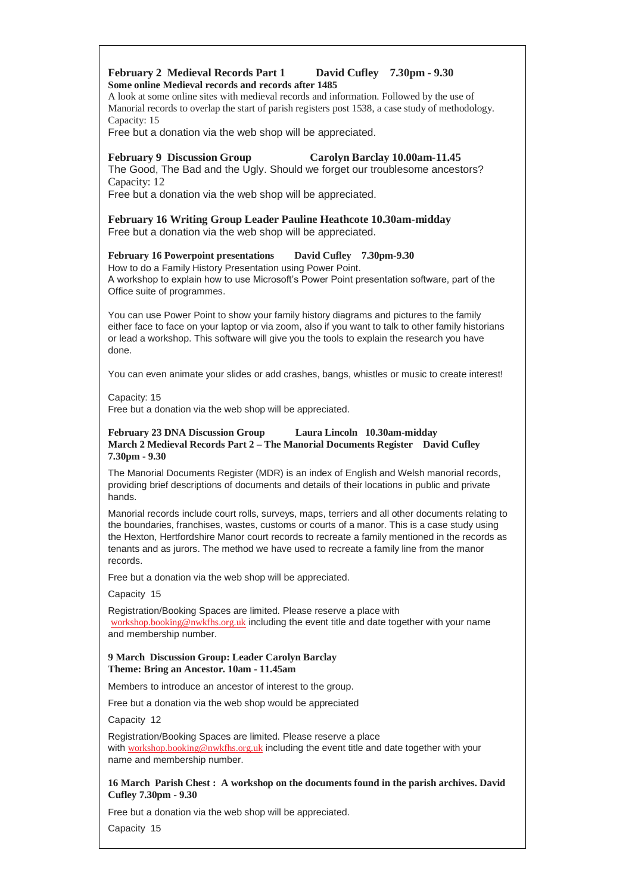#### **February 2 Medieval Records Part 1 David Cufley 7.30pm - 9.30 Some online Medieval records and records after 1485**

A look at some online sites with medieval records and information. Followed by the use of Manorial records to overlap the start of parish registers post 1538, a case study of methodology. Capacity: 15

Free but a donation via the web shop will be appreciated.

#### **February 9 Discussion Group Carolyn Barclay 10.00am-11.45**

The Good, The Bad and the Ugly. Should we forget our troublesome ancestors? Capacity: 12

Free but a donation via the web shop will be appreciated.

**February 16 Writing Group Leader Pauline Heathcote 10.30am-midday** Free but a donation via the web shop will be appreciated.

#### **February 16 Powerpoint presentations David Cufley 7.30pm-9.30**

How to do a Family History Presentation using Power Point. A workshop to explain how to use Microsoft's Power Point presentation software, part of the Office suite of programmes.

You can use Power Point to show your family history diagrams and pictures to the family either face to face on your laptop or via zoom, also if you want to talk to other family historians or lead a workshop. This software will give you the tools to explain the research you have done.

You can even animate your slides or add crashes, bangs, whistles or music to create interest!

Capacity: 15

Free but a donation via the web shop will be appreciated.

#### **February 23 DNA Discussion Group Laura Lincoln 10.30am-midday March 2 Medieval Records Part 2 – The Manorial Documents Register David Cufley 7.30pm - 9.30**

The Manorial Documents Register (MDR) is an index of English and Welsh manorial records, providing brief descriptions of documents and details of their locations in public and private hands.

Manorial records include court rolls, surveys, maps, terriers and all other documents relating to the boundaries, franchises, wastes, customs or courts of a manor. This is a case study using the Hexton, Hertfordshire Manor court records to recreate a family mentioned in the records as tenants and as jurors. The method we have used to recreate a family line from the manor records.

Free but a donation via the web shop will be appreciated.

Capacity 15

Registration/Booking Spaces are limited. Please reserve a place with [workshop.booking@nwkfhs.org.uk](mailto:workshop.booking@nwkfhs.org.uk?subject=Workshop%3A%20Medieval%20Records%202%20March%202022) including the event title and date together with your name and membership number.

#### **9 March Discussion Group: Leader Carolyn Barclay Theme: Bring an Ancestor. 10am - 11.45am**

Members to introduce an ancestor of interest to the group.

Free but a donation via the web shop would be appreciated

Capacity 12

Registration/Booking Spaces are limited. Please reserve a place with [workshop.booking@nwkfhs.org.uk](mailto:workshop.booking@nwkfhs.org.uk?subject=Workshop%3A%20Bring%20An%20Ancestor%209%20March%202022) including the event title and date together with your name and membership number.

#### **16 March Parish Chest : A workshop on the documents found in the parish archives. David Cufley 7.30pm - 9.30**

Free but a donation via the web shop will be appreciated.

Capacity 15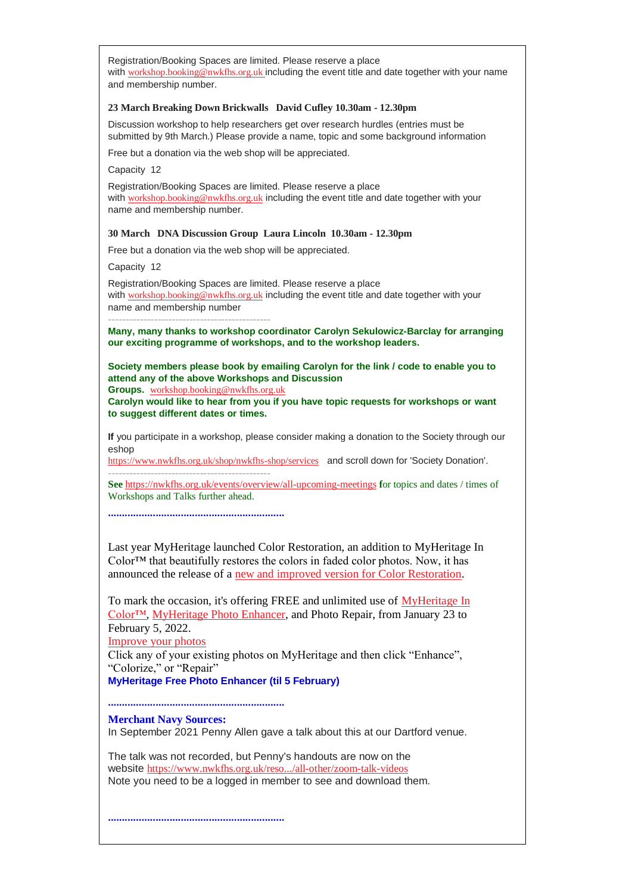Registration/Booking Spaces are limited. Please reserve a place with [workshop.booking@nwkfhs.org.uk](mailto:workshop.booking@nwkfhs.org.uk?subject=Workshop%3A%20Parish%20Chest%2016%20March) including the event title and date together with your name and membership number.

#### **23 March Breaking Down Brickwalls David Cufley 10.30am - 12.30pm**

Discussion workshop to help researchers get over research hurdles (entries must be submitted by 9th March.) Please provide a name, topic and some background information

Free but a donation via the web shop will be appreciated.

Capacity 12

Registration/Booking Spaces are limited. Please reserve a place with [workshop.booking@nwkfhs.org.uk](mailto:workshop.booking@nwkfhs.org.uk?subject=Workshop%3A%20Breaking%20Down%20Brick%20Walls%2023%20March) including the event title and date together with your name and membership number.

#### **30 March DNA Discussion Group Laura Lincoln 10.30am - 12.30pm**

Free but a donation via the web shop will be appreciated.

Capacity 12

Registration/Booking Spaces are limited. Please reserve a place with [workshop.booking@nwkfhs.org.uk](mailto:workshop.booking@nwkfhs.org.uk?subject=DNA%20Discussion%20Group%20on%2030%20March) including the event title and date together with your name and membership number

**Many, many thanks to workshop coordinator Carolyn Sekulowicz-Barclay for arranging our exciting programme of workshops, and to the workshop leaders.**

**Society members please book by emailing Carolyn for the link / code to enable you to attend any of the above Workshops and Discussion** 

**Groups.** [workshop.booking@nwkfhs.org.uk](mailto:workshop.booking@nwkfhs.org.uk?subject=NWKFHS%20Workshops)

**----------------------------------------------**

**Carolyn would like to hear from you if you have topic requests for workshops or want to suggest different dates or times.**

**If** you participate in a workshop, please consider making a donation to the Society through our eshop

[https://www.nwkfhs.org.uk/shop/nwkfhs-shop/services](https://nwkfhs.us4.list-manage.com/track/click?u=cde10858510442d6e71f0f3a6&id=f8096a4936&e=a709ee61ff) and scroll down for 'Society Donation'. **----------------------------------------------**

**See** [https://nwkfhs.org.uk/events/overview/all-upcoming-meetings](https://nwkfhs.us4.list-manage.com/track/click?u=cde10858510442d6e71f0f3a6&id=f9d98e3da0&e=a709ee61ff) **f**or topics and dates / times of Workshops and Talks further ahead.

**...............................................................**

Last year MyHeritage launched Color Restoration, an addition to MyHeritage In Color™ that beautifully restores the colors in faded color photos. Now, it has announced the release of a [new and improved version for Color Restoration.](https://nwkfhs.us4.list-manage.com/track/click?u=cde10858510442d6e71f0f3a6&id=b0a415110a&e=a709ee61ff)

To mark the occasion, it's offering FREE and unlimited use of [MyHeritage In](https://nwkfhs.us4.list-manage.com/track/click?u=cde10858510442d6e71f0f3a6&id=9549e80bc0&e=a709ee61ff)  [Color™,](https://nwkfhs.us4.list-manage.com/track/click?u=cde10858510442d6e71f0f3a6&id=9549e80bc0&e=a709ee61ff) [MyHeritage Photo Enhancer,](https://nwkfhs.us4.list-manage.com/track/click?u=cde10858510442d6e71f0f3a6&id=33c4f7473c&e=a709ee61ff) and Photo Repair, from January 23 to February 5, 2022. [Improve your photos](https://nwkfhs.us4.list-manage.com/track/click?u=cde10858510442d6e71f0f3a6&id=6d6c885d32&e=a709ee61ff)

Click any of your existing photos on MyHeritage and then click "Enhance", "Colorize," or "Repair"

#### **MyHeritage Free Photo Enhancer (til 5 February)**

**...............................................................**

**Merchant Navy Sources:**

In September 2021 Penny Allen gave a talk about this at our Dartford venue.

The talk was not recorded, but Penny's handouts are now on the website [https://www.nwkfhs.org.uk/reso.../all-other/zoom-talk-videos](https://nwkfhs.us4.list-manage.com/track/click?u=cde10858510442d6e71f0f3a6&id=55b5deb34a&e=a709ee61ff) Note you need to be a logged in member to see and download them.

**...............................................................**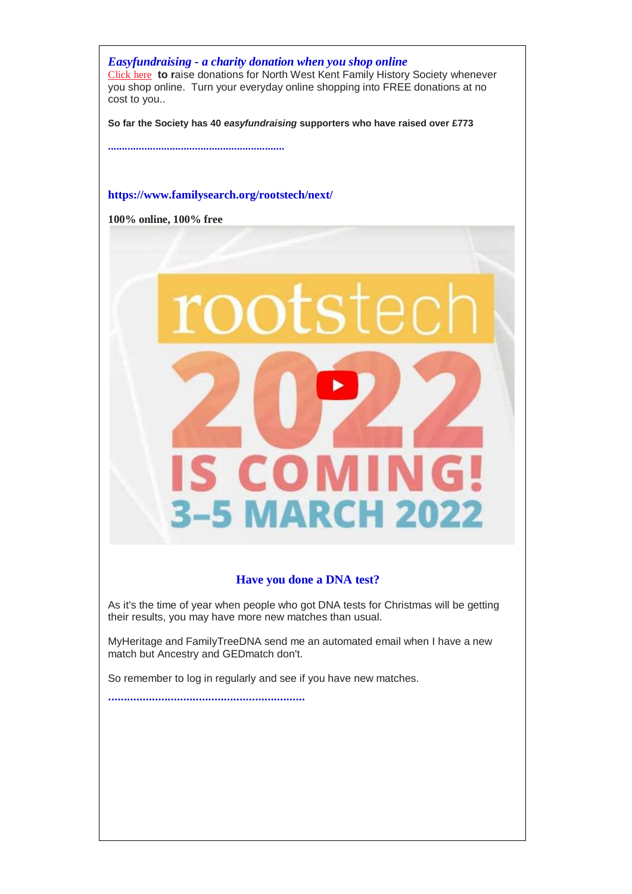*Easyfundraising - a charity donation when you shop online* [Click here](https://nwkfhs.us4.list-manage.com/track/click?u=cde10858510442d6e71f0f3a6&id=031a4c2154&e=a709ee61ff) **to r**aise donations for North West Kent Family History Society whenever you shop online. Turn your everyday online shopping into FREE donations at no cost to you..

**So far the Society has 40** *easyfundraising* **supporters who have raised over £773** 

**...............................................................**

### **[https://www.familysearch.org/rootstech/next/](https://nwkfhs.us4.list-manage.com/track/click?u=cde10858510442d6e71f0f3a6&id=89590e8b94&e=a709ee61ff)**

**100% online, 100% free**



## **Have you done a DNA test?**

As it's the time of year when people who got DNA tests for Christmas will be getting their results, you may have more new matches than usual.

MyHeritage and FamilyTreeDNA send me an automated email when I have a new match but Ancestry and GEDmatch don't.

So remember to log in regularly and see if you have new matches.

**...............................................................**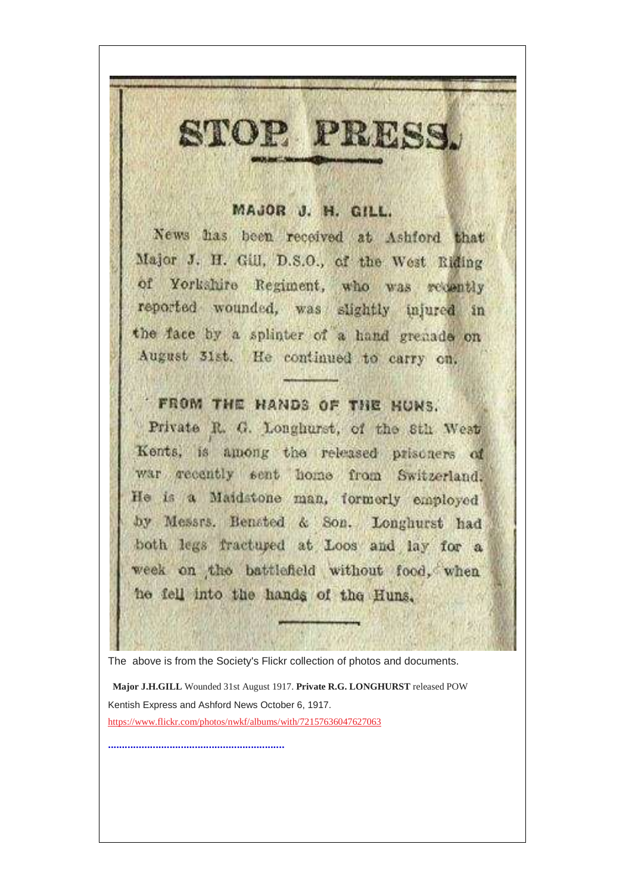## MAJOR J. H. GILL.

STOP PRESS.

News has been received at Ashford that Major J. H. Gill, D.S.O., of the West Riding of Yorkshire Regiment, who was recently reported wounded, was slightly injured in the face by a splinter of a hand grenade on August 31st. He continued to carry on,

# FROM THE HANDS OF THE HUNS.

Private R. G. Longhurst, of the Sth West Kents, is among the released prisoners of war recently sent home from Switzerland. He is a Maidstone man, formorly employed by Messrs. Benated & Son. Longhurst had both legs fractured at Loos and lay for a week on the battlefield without food, when he fell into the hands of the Huns.

The above is from the Society's Flickr collection of photos and documents.

**Major J.H.GILL** Wounded 31st August 1917. **Private R.G. LONGHURST** released POW Kentish Express and Ashford News October 6, 1917. [https://www.flickr.com/photos/nwkf/albums/with/72157636047627063](https://nwkfhs.us4.list-manage.com/track/click?u=cde10858510442d6e71f0f3a6&id=c0c3c4940d&e=a709ee61ff)

**...............................................................**